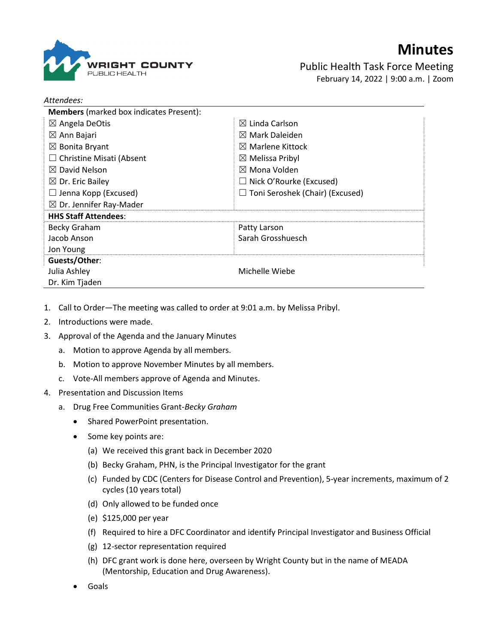

## Minutes

Public Health Task Force Meeting February 14, 2022 | 9:00 a.m. | Zoom

| Attendees:                                     |                                        |
|------------------------------------------------|----------------------------------------|
| <b>Members</b> (marked box indicates Present): |                                        |
| $\boxtimes$ Angela DeOtis                      | $\boxtimes$ Linda Carlson              |
| $\boxtimes$ Ann Bajari                         | $\boxtimes$ Mark Daleiden              |
| $\boxtimes$ Bonita Bryant                      | $\boxtimes$ Marlene Kittock            |
| $\Box$ Christine Misati (Absent                | $\boxtimes$ Melissa Pribyl             |
| $\boxtimes$ David Nelson                       | $\boxtimes$ Mona Volden                |
| $\boxtimes$ Dr. Eric Bailey                    | $\Box$ Nick O'Rourke (Excused)         |
| $\Box$ Jenna Kopp (Excused)                    | $\Box$ Toni Seroshek (Chair) (Excused) |
| $\boxtimes$ Dr. Jennifer Ray-Mader             |                                        |
| <b>HHS Staff Attendees:</b>                    |                                        |
| Becky Graham                                   | Patty Larson                           |
| Jacob Anson                                    | Sarah Grosshuesch                      |
| Jon Young                                      |                                        |
| Guests/Other:                                  |                                        |
| Julia Ashley                                   | Michelle Wiebe                         |
| Dr. Kim Tjaden                                 |                                        |

- 1. Call to Order—The meeting was called to order at 9:01 a.m. by Melissa Pribyl.
- 2. Introductions were made.
- 3. Approval of the Agenda and the January Minutes
	- a. Motion to approve Agenda by all members.
	- b. Motion to approve November Minutes by all members.
	- c. Vote-All members approve of Agenda and Minutes.
- 4. Presentation and Discussion Items
	- a. Drug Free Communities Grant-Becky Graham
		- Shared PowerPoint presentation.
		- Some key points are:
			- (a) We received this grant back in December 2020
			- (b) Becky Graham, PHN, is the Principal Investigator for the grant
			- (c) Funded by CDC (Centers for Disease Control and Prevention), 5-year increments, maximum of 2 cycles (10 years total)
			- (d) Only allowed to be funded once
			- (e) \$125,000 per year
			- (f) Required to hire a DFC Coordinator and identify Principal Investigator and Business Official
			- (g) 12-sector representation required
			- (h) DFC grant work is done here, overseen by Wright County but in the name of MEADA (Mentorship, Education and Drug Awareness).
		- Goals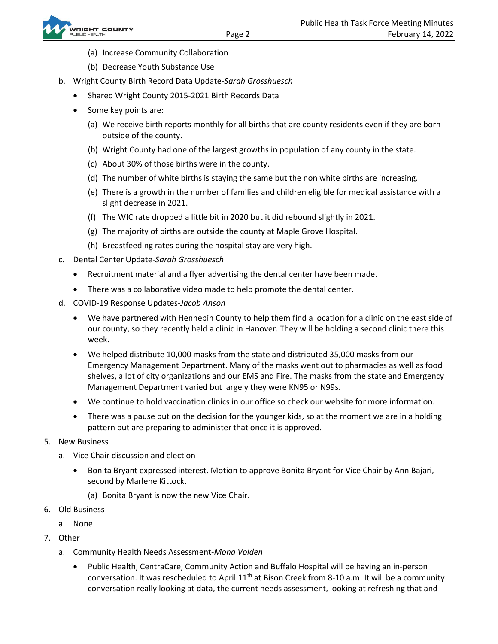- (a) Increase Community Collaboration
- (b) Decrease Youth Substance Use
- b. Wright County Birth Record Data Update-Sarah Grosshuesch
	- Shared Wright County 2015-2021 Birth Records Data
	- Some key points are:
		- (a) We receive birth reports monthly for all births that are county residents even if they are born outside of the county.
		- (b) Wright County had one of the largest growths in population of any county in the state.
		- (c) About 30% of those births were in the county.
		- (d) The number of white births is staying the same but the non white births are increasing.
		- (e) There is a growth in the number of families and children eligible for medical assistance with a slight decrease in 2021.
		- (f) The WIC rate dropped a little bit in 2020 but it did rebound slightly in 2021.
		- (g) The majority of births are outside the county at Maple Grove Hospital.
		- (h) Breastfeeding rates during the hospital stay are very high.
- c. Dental Center Update-Sarah Grosshuesch
	- Recruitment material and a flyer advertising the dental center have been made.
	- There was a collaborative video made to help promote the dental center.
- d. COVID-19 Response Updates-Jacob Anson
	- We have partnered with Hennepin County to help them find a location for a clinic on the east side of our county, so they recently held a clinic in Hanover. They will be holding a second clinic there this week.
	- We helped distribute 10,000 masks from the state and distributed 35,000 masks from our Emergency Management Department. Many of the masks went out to pharmacies as well as food shelves, a lot of city organizations and our EMS and Fire. The masks from the state and Emergency Management Department varied but largely they were KN95 or N99s.
	- We continue to hold vaccination clinics in our office so check our website for more information.
	- There was a pause put on the decision for the younger kids, so at the moment we are in a holding pattern but are preparing to administer that once it is approved.
- 5. New Business
	- a. Vice Chair discussion and election
		- Bonita Bryant expressed interest. Motion to approve Bonita Bryant for Vice Chair by Ann Bajari, second by Marlene Kittock.
			- (a) Bonita Bryant is now the new Vice Chair.
- 6. Old Business
	- a. None.
- 7. Other
	- a. Community Health Needs Assessment-Mona Volden
		- Public Health, CentraCare, Community Action and Buffalo Hospital will be having an in-person conversation. It was rescheduled to April  $11<sup>th</sup>$  at Bison Creek from 8-10 a.m. It will be a community conversation really looking at data, the current needs assessment, looking at refreshing that and